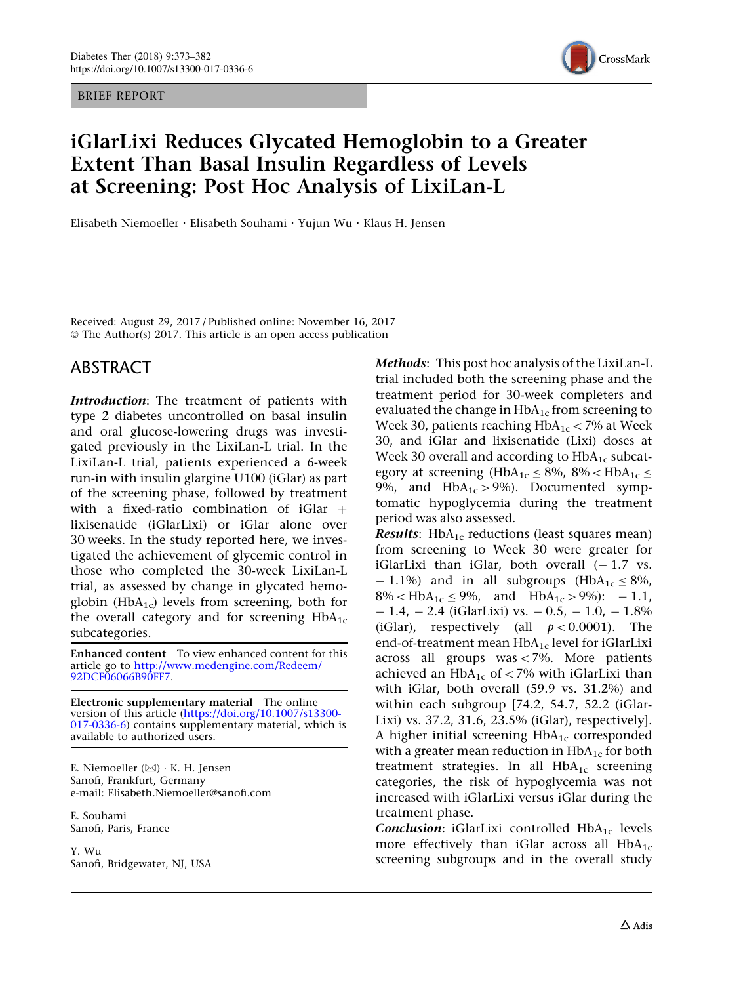BRIEF REPORT



# iGlarLixi Reduces Glycated Hemoglobin to a Greater Extent Than Basal Insulin Regardless of Levels at Screening: Post Hoc Analysis of LixiLan-L

Elisabeth Niemoeller . Elisabeth Souhami . Yujun Wu . Klaus H. Jensen

Received: August 29, 2017 / Published online: November 16, 2017 © The Author(s) 2017. This article is an open access publication

# ABSTRACT

Introduction: The treatment of patients with type 2 diabetes uncontrolled on basal insulin and oral glucose-lowering drugs was investigated previously in the LixiLan-L trial. In the LixiLan-L trial, patients experienced a 6-week run-in with insulin glargine U100 (iGlar) as part of the screening phase, followed by treatment with a fixed-ratio combination of  $iGlar +$ lixisenatide (iGlarLixi) or iGlar alone over 30 weeks. In the study reported here, we investigated the achievement of glycemic control in those who completed the 30-week LixiLan-L trial, as assessed by change in glycated hemoglobin (Hb $A_{1c}$ ) levels from screening, both for the overall category and for screening  $HbA_{1c}$ subcategories.

Enhanced content To view enhanced content for this article go to [http://www.medengine.com/Redeem/](http://www.medengine.com/Redeem/92DCF06066B90FF7) [92DCF06066B90FF7](http://www.medengine.com/Redeem/92DCF06066B90FF7).

Electronic supplementary material The online version of this article ([https://doi.org/10.1007/s13300-](https://doi.org/10.1007/s13300-017-0336-6) [017-0336-6](https://doi.org/10.1007/s13300-017-0336-6)) contains supplementary material, which is available to authorized users.

E. Niemoeller (⊠) ∙ K. H. Jensen Sanofi, Frankfurt, Germany e-mail: Elisabeth.Niemoeller@sanofi.com

E. Souhami Sanofi, Paris, France

Y. Wu Sanofi, Bridgewater, NJ, USA Methods: This post hoc analysis of the LixiLan-L trial included both the screening phase and the treatment period for 30-week completers and evaluated the change in  $HbA_{1c}$  from screening to Week 30, patients reaching  $HbA_{1c}$  < 7% at Week 30, and iGlar and lixisenatide (Lixi) doses at Week 30 overall and according to  $HbA_{1c}$  subcategory at screening (HbA<sub>1c</sub>  $\leq$  8%, 8% $\lt$ HbA<sub>1c</sub>  $\leq$ 9%, and  $HbA_{1c} > 9%$ ). Documented symptomatic hypoglycemia during the treatment period was also assessed.

**Results:** HbA<sub>1c</sub> reductions (least squares mean) from screening to Week 30 were greater for iGlarLixi than iGlar, both overall  $(-1.7 \text{ vs.})$  $- 1.1\%$ ) and in all subgroups (HbA<sub>1c</sub>  $\leq 8\%$ ,  $8\%$  < HbA<sub>1c</sub>  $\leq$  9%, and HbA<sub>1c</sub> > 9%): - 1.1,  $-1.4$ ,  $-2.4$  (iGlarLixi) vs.  $-0.5$ ,  $-1.0$ ,  $-1.8\%$ (iGlar), respectively (all  $p < 0.0001$ ). The end-of-treatment mean  $HbA_{1c}$  level for iGlarLixi across all groups was $\lt$ 7%. More patients achieved an  $HbA_{1c}$  of < 7% with iGlarLixi than with iGlar, both overall (59.9 vs. 31.2%) and within each subgroup [74.2, 54.7, 52.2 (iGlar-Lixi) vs. 37.2, 31.6, 23.5% (iGlar), respectively]. A higher initial screening  $HbA_{1c}$  corresponded with a greater mean reduction in  $HbA_{1c}$  for both treatment strategies. In all  $HbA_{1c}$  screening categories, the risk of hypoglycemia was not increased with iGlarLixi versus iGlar during the treatment phase.

Conclusion: iGlarLixi controlled  $HbA_{1c}$  levels more effectively than iGlar across all  $HbA_{1c}$ screening subgroups and in the overall study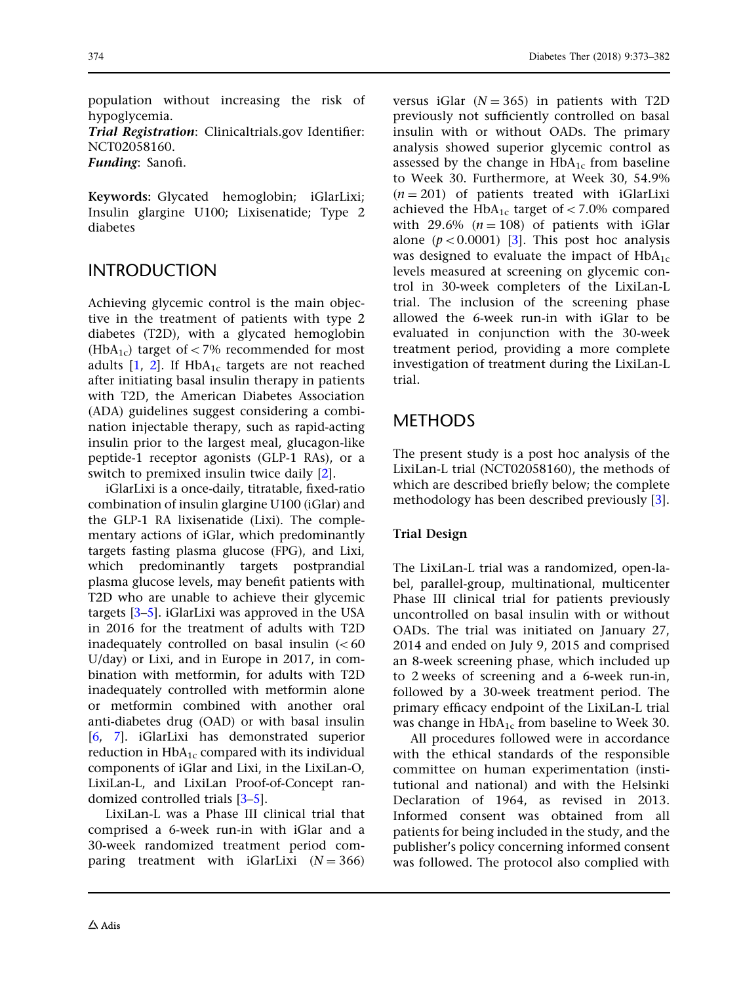374 Diabetes Ther (2018) 9:373–382

population without increasing the risk of hypoglycemia.

Trial Registration: Clinicaltrials.gov Identifier: NCT02058160.

Funding: Sanofi.

Keywords: Glycated hemoglobin; iGlarLixi; Insulin glargine U100; Lixisenatide; Type 2 diabetes

# INTRODUCTION

Achieving glycemic control is the main objective in the treatment of patients with type 2 diabetes (T2D), with a glycated hemoglobin (HbA<sub>1c</sub>) target of  $\lt$  7% recommended for most adults  $[1, 2]$  $[1, 2]$  $[1, 2]$  $[1, 2]$ . If  $HbA_{1c}$  targets are not reached after initiating basal insulin therapy in patients with T2D, the American Diabetes Association (ADA) guidelines suggest considering a combination injectable therapy, such as rapid-acting insulin prior to the largest meal, glucagon-like peptide-1 receptor agonists (GLP-1 RAs), or a switch to premixed insulin twice daily [\[2](#page-9-0)].

iGlarLixi is a once-daily, titratable, fixed-ratio combination of insulin glargine U100 (iGlar) and the GLP-1 RA lixisenatide (Lixi). The complementary actions of iGlar, which predominantly targets fasting plasma glucose (FPG), and Lixi, which predominantly targets postprandial plasma glucose levels, may benefit patients with T2D who are unable to achieve their glycemic targets [[3–5\]](#page-9-0). iGlarLixi was approved in the USA in 2016 for the treatment of adults with T2D inadequately controlled on basal insulin  $(< 60$ U/day) or Lixi, and in Europe in 2017, in combination with metformin, for adults with T2D inadequately controlled with metformin alone or metformin combined with another oral anti-diabetes drug (OAD) or with basal insulin [\[6,](#page-9-0) [7\]](#page-9-0). iGlarLixi has demonstrated superior reduction in  $HbA_{1c}$  compared with its individual components of iGlar and Lixi, in the LixiLan-O, LixiLan-L, and LixiLan Proof-of-Concept randomized controlled trials [\[3–5](#page-9-0)].

LixiLan-L was a Phase III clinical trial that comprised a 6-week run-in with iGlar and a 30-week randomized treatment period comparing treatment with iGlarLixi  $(N = 366)$  versus iGlar  $(N = 365)$  in patients with T2D previously not sufficiently controlled on basal insulin with or without OADs. The primary analysis showed superior glycemic control as assessed by the change in  $HbA_{1c}$  from baseline to Week 30. Furthermore, at Week 30, 54.9%  $(n = 201)$  of patients treated with iGlarLixi achieved the HbA<sub>1c</sub> target of < 7.0% compared with 29.6%  $(n = 108)$  of patients with iGlar alone  $(p<0.0001)$  [\[3](#page-9-0)]. This post hoc analysis was designed to evaluate the impact of  $HbA_{1c}$ levels measured at screening on glycemic control in 30-week completers of the LixiLan-L trial. The inclusion of the screening phase allowed the 6-week run-in with iGlar to be evaluated in conjunction with the 30-week treatment period, providing a more complete investigation of treatment during the LixiLan-L trial.

# METHODS

The present study is a post hoc analysis of the LixiLan-L trial (NCT02058160), the methods of which are described briefly below; the complete methodology has been described previously [[3](#page-9-0)].

#### Trial Design

The LixiLan-L trial was a randomized, open-label, parallel-group, multinational, multicenter Phase III clinical trial for patients previously uncontrolled on basal insulin with or without OADs. The trial was initiated on January 27, 2014 and ended on July 9, 2015 and comprised an 8-week screening phase, which included up to 2 weeks of screening and a 6-week run-in, followed by a 30-week treatment period. The primary efficacy endpoint of the LixiLan-L trial was change in  $HbA_{1c}$  from baseline to Week 30.

All procedures followed were in accordance with the ethical standards of the responsible committee on human experimentation (institutional and national) and with the Helsinki Declaration of 1964, as revised in 2013. Informed consent was obtained from all patients for being included in the study, and the publisher's policy concerning informed consent was followed. The protocol also complied with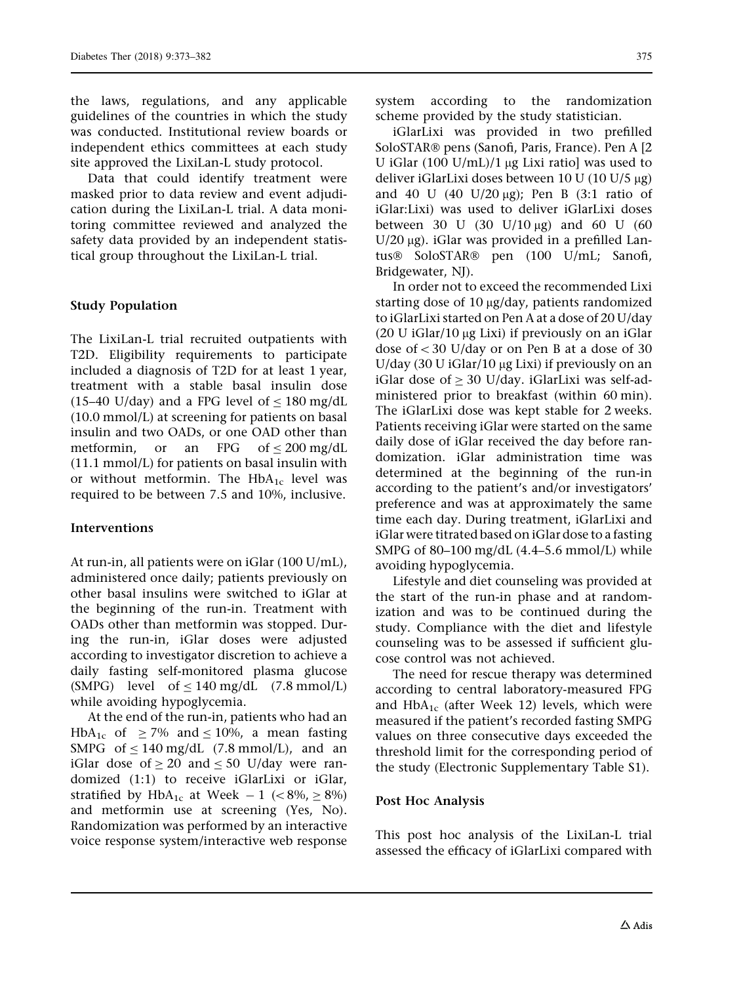the laws, regulations, and any applicable guidelines of the countries in which the study was conducted. Institutional review boards or independent ethics committees at each study site approved the LixiLan-L study protocol.

Data that could identify treatment were masked prior to data review and event adjudication during the LixiLan-L trial. A data monitoring committee reviewed and analyzed the safety data provided by an independent statistical group throughout the LixiLan-L trial.

#### Study Population

The LixiLan-L trial recruited outpatients with T2D. Eligibility requirements to participate included a diagnosis of T2D for at least 1 year, treatment with a stable basal insulin dose (15–40 U/day) and a FPG level of  $\lt$  180 mg/dL (10.0 mmol/L) at screening for patients on basal insulin and two OADs, or one OAD other than metformin, or an FPG of  $\leq 200$  mg/dL (11.1 mmol/L) for patients on basal insulin with or without metformin. The  $HbA_{1c}$  level was required to be between 7.5 and 10%, inclusive.

#### Interventions

At run-in, all patients were on iGlar (100 U/mL), administered once daily; patients previously on other basal insulins were switched to iGlar at the beginning of the run-in. Treatment with OADs other than metformin was stopped. During the run-in, iGlar doses were adjusted according to investigator discretion to achieve a daily fasting self-monitored plasma glucose (SMPG) level of  $\leq 140$  mg/dL (7.8 mmol/L) while avoiding hypoglycemia.

At the end of the run-in, patients who had an HbA<sub>1c</sub> of  $\geq$  7% and  $\leq$  10%, a mean fasting SMPG of  $\leq 140$  mg/dL (7.8 mmol/L), and an iGlar dose of  $\geq 20$  and  $\leq 50$  U/day were randomized (1:1) to receive iGlarLixi or iGlar, stratified by HbA<sub>1c</sub> at Week  $-1$  ( $\lt 8\%$ ,  $\ge 8\%$ ) and metformin use at screening (Yes, No). Randomization was performed by an interactive voice response system/interactive web response system according to the randomization scheme provided by the study statistician.

iGlarLixi was provided in two prefilled SoloSTAR® pens (Sanofi, Paris, France). Pen A [2] U iGlar  $(100 \text{ U/mL})/1 \mu g$  Lixi ratio] was used to deliver iGlarLixi doses between  $10 U (10 U/5 \mu g)$ and 40 U (40 U/20  $\mu$ g); Pen B (3:1 ratio of iGlar:Lixi) was used to deliver iGlarLixi doses between 30 U (30 U/10  $\mu$ g) and 60 U (60 U/20  $\mu$ g). iGlar was provided in a prefilled Lantus<sup>®</sup> SoloSTAR<sup>®</sup> pen (100 U/mL; Sanofi, Bridgewater, NJ).

In order not to exceed the recommended Lixi starting dose of  $10 \mu g/day$ , patients randomized to iGlarLixi started on Pen A at a dose of 20 U/day (20 U iGlar/10  $\mu$ g Lixi) if previously on an iGlar dose of  $<$  30 U/day or on Pen B at a dose of 30 U/day (30 U iGlar/10  $\mu$ g Lixi) if previously on an iGlar dose of  $> 30$  U/day. iGlarLixi was self-administered prior to breakfast (within 60 min). The iGlarLixi dose was kept stable for 2 weeks. Patients receiving iGlar were started on the same daily dose of iGlar received the day before randomization. iGlar administration time was determined at the beginning of the run-in according to the patient's and/or investigators' preference and was at approximately the same time each day. During treatment, iGlarLixi and iGlar were titrated based on iGlar dose to a fasting SMPG of 80–100 mg/dL (4.4–5.6 mmol/L) while avoiding hypoglycemia.

Lifestyle and diet counseling was provided at the start of the run-in phase and at randomization and was to be continued during the study. Compliance with the diet and lifestyle counseling was to be assessed if sufficient glucose control was not achieved.

The need for rescue therapy was determined according to central laboratory-measured FPG and  $HbA_{1c}$  (after Week 12) levels, which were measured if the patient's recorded fasting SMPG values on three consecutive days exceeded the threshold limit for the corresponding period of the study (Electronic Supplementary Table S1).

#### Post Hoc Analysis

This post hoc analysis of the LixiLan-L trial assessed the efficacy of iGlarLixi compared with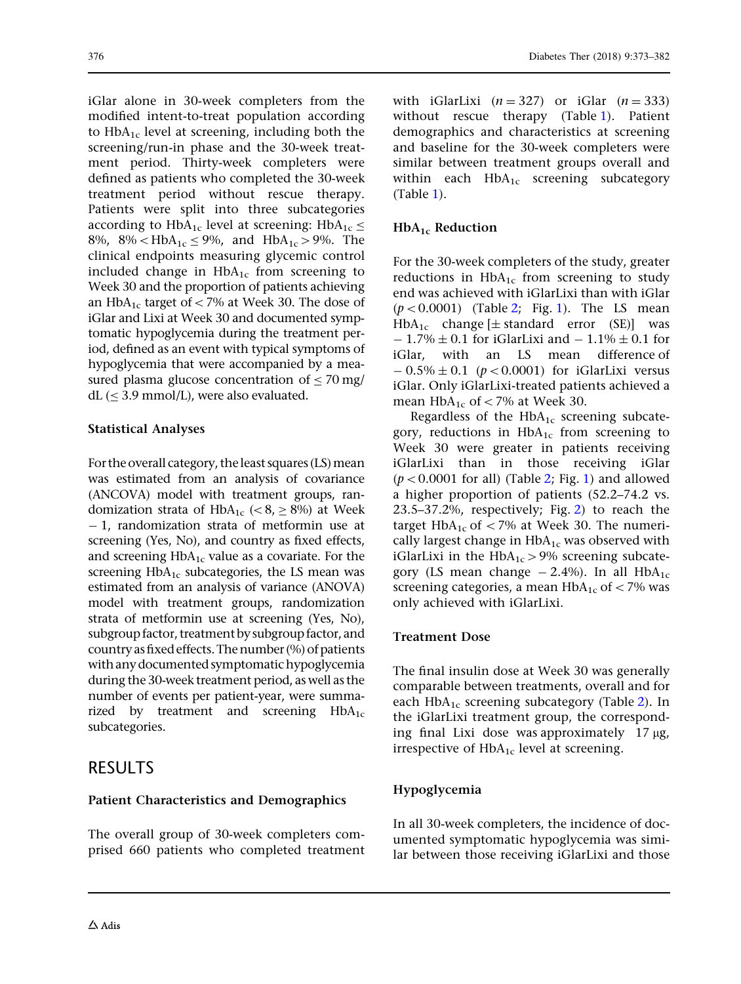iGlar alone in 30-week completers from the modified intent-to-treat population according to  $HbA_{1c}$  level at screening, including both the screening/run-in phase and the 30-week treatment period. Thirty-week completers were defined as patients who completed the 30-week treatment period without rescue therapy. Patients were split into three subcategories according to HbA<sub>1c</sub> level at screening: HbA<sub>1c</sub>  $\leq$ 8%, 8% <  $HbA_{1c} \le 9$ %, and  $HbA_{1c} > 9$ %. The clinical endpoints measuring glycemic control included change in  $HbA_{1c}$  from screening to Week 30 and the proportion of patients achieving an HbA<sub>1c</sub> target of  $<$  7% at Week 30. The dose of iGlar and Lixi at Week 30 and documented symptomatic hypoglycemia during the treatment period, defined as an event with typical symptoms of hypoglycemia that were accompanied by a measured plasma glucose concentration of  $\leq 70$  mg/  $dL$  ( $\leq$  3.9 mmol/L), were also evaluated.

#### Statistical Analyses

For the overall category, the least squares (LS) mean was estimated from an analysis of covariance (ANCOVA) model with treatment groups, randomization strata of  $HbA_{1c}$  (<8,  $\geq$  8%) at Week - 1, randomization strata of metformin use at screening (Yes, No), and country as fixed effects, and screening  $HbA_{1c}$  value as a covariate. For the screening  $HbA_{1c}$  subcategories, the LS mean was estimated from an analysis of variance (ANOVA) model with treatment groups, randomization strata of metformin use at screening (Yes, No), subgroup factor, treatment by subgroup factor, and country as fixed effects. The number (%) of patients with any documented symptomatic hypoglycemia during the 30-week treatment period, as well as the number of events per patient-year, were summarized by treatment and screening  $HbA_{1c}$ subcategories.

### RESULTS

#### Patient Characteristics and Demographics

The overall group of 30-week completers comprised 660 patients who completed treatment with iGlarLixi  $(n = 327)$  or iGlar  $(n = 333)$ without rescue therapy (Table [1](#page-4-0)). Patient demographics and characteristics at screening and baseline for the 30-week completers were similar between treatment groups overall and within each  $HbA_{1c}$  screening subcategory (Table [1\)](#page-4-0).

### $HbA_{1c}$  Reduction

For the 30-week completers of the study, greater reductions in  $HbA_{1c}$  from screening to study end was achieved with iGlarLixi than with iGlar  $(p<0.0001)$  $(p<0.0001)$  (Table [2;](#page-5-0) Fig. 1). The LS mean HbA<sub>1c</sub> change  $[\pm$  standard error (SE)] was  $-1.7\% \pm 0.1$  for iGlarLixi and  $-1.1\% \pm 0.1$  for iGlar, with an LS mean difference of  $-0.5\% \pm 0.1$  ( $p < 0.0001$ ) for iGlarLixi versus iGlar. Only iGlarLixi-treated patients achieved a mean  $HbA_{1c}$  of < 7% at Week 30.

Regardless of the  $HbA_{1c}$  screening subcategory, reductions in  $HbA_{1c}$  from screening to Week 30 were greater in patients receiving iGlarLixi than in those receiving iGlar  $(p<0.0001$  $(p<0.0001$  for all) (Table [2](#page-5-0); Fig. 1) and allowed a higher proportion of patients (52.2–74.2 vs. 23.5–37.2%, respectively; Fig. [2](#page-6-0)) to reach the target HbA<sub>1c</sub> of  $\langle 7\%$  at Week 30. The numerically largest change in  $HbA_{1c}$  was observed with iGlarLixi in the  $HbA_{1c} > 9%$  screening subcategory (LS mean change  $-2.4\%$ ). In all HbA<sub>1c</sub> screening categories, a mean  $HbA_{1c}$  of  $\lt$  7% was only achieved with iGlarLixi.

#### Treatment Dose

The final insulin dose at Week 30 was generally comparable between treatments, overall and for each  $HbA_{1c}$  screening subcategory (Table [2](#page-5-0)). In the iGlarLixi treatment group, the corresponding final Lixi dose was approximately  $17 \mu g$ , irrespective of  $HbA_{1c}$  level at screening.

#### Hypoglycemia

In all 30-week completers, the incidence of documented symptomatic hypoglycemia was similar between those receiving iGlarLixi and those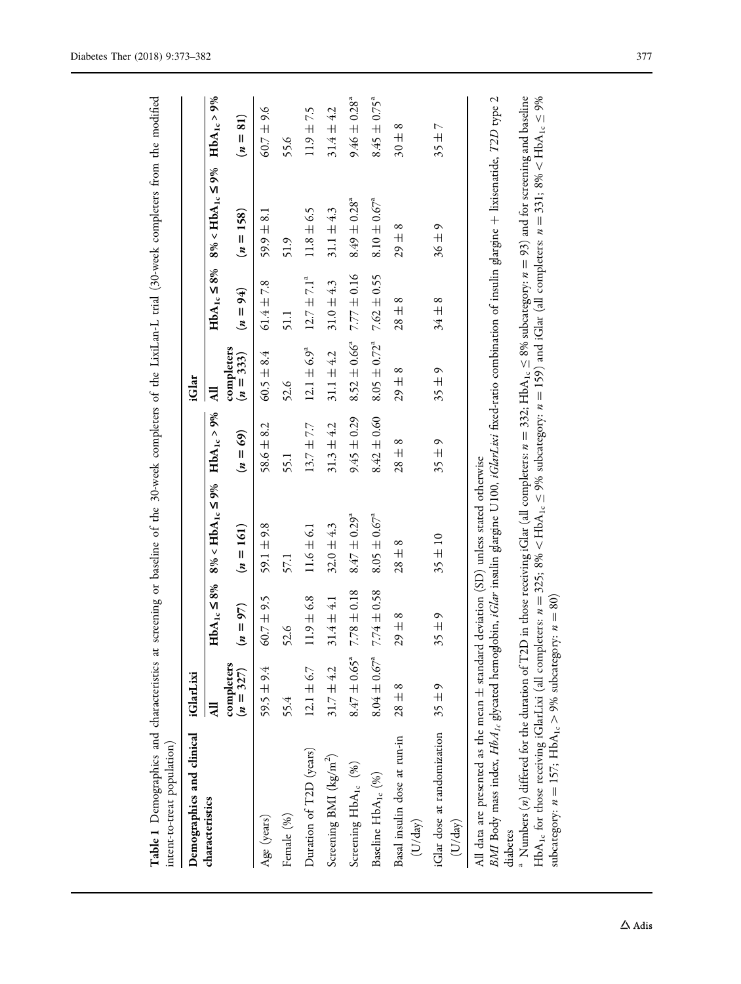<span id="page-4-0"></span>

| Table 1 Demographics and characteristics at<br>intent-to-treat population)                                                                                                                                                                                                                                                                                                                                                                                                                                                                                                                                                                                                                                                                  |                           |                     |                                        |                 |                         |                        | screening or baseline of the 30-week completers of the LixiLan-L trial (30-week completers from the modified |                              |
|---------------------------------------------------------------------------------------------------------------------------------------------------------------------------------------------------------------------------------------------------------------------------------------------------------------------------------------------------------------------------------------------------------------------------------------------------------------------------------------------------------------------------------------------------------------------------------------------------------------------------------------------------------------------------------------------------------------------------------------------|---------------------------|---------------------|----------------------------------------|-----------------|-------------------------|------------------------|--------------------------------------------------------------------------------------------------------------|------------------------------|
| Demographics and clinical                                                                                                                                                                                                                                                                                                                                                                                                                                                                                                                                                                                                                                                                                                                   | iGlarLixi                 |                     |                                        |                 | iGlar                   |                        |                                                                                                              |                              |
| characteristics                                                                                                                                                                                                                                                                                                                                                                                                                                                                                                                                                                                                                                                                                                                             | $\overline{AB}$           | $HbA_{1c} \leq 8\%$ | $8\% < HbA_{1c} \leq 9\%$              | $HbA_{1c}$ > 9% | $\overline{AB}$         |                        | $HbA_{1c} \le 8\%$ 8% $8\% < HbA_{1c} \le 9\%$                                                               | $HbA_{1c} > 9%$              |
|                                                                                                                                                                                                                                                                                                                                                                                                                                                                                                                                                                                                                                                                                                                                             | completers<br>$(n = 327)$ | $(n = 97)$          | $(n = 161)$                            | $(n = 69)$      | completers<br>$(n=333)$ | $(4) = 94$             | $(n = 158)$                                                                                                  | $(n = 81)$                   |
| Age (years)                                                                                                                                                                                                                                                                                                                                                                                                                                                                                                                                                                                                                                                                                                                                 | 59.5 $\pm$ 9.4            | $60.7 \pm 9.5$      | 59.1 $\pm$ 9.8                         | $58.6 \pm 8.2$  | $60.5 \pm 8.4$          | $61.4 \pm 7.8$         | $59.9 \pm 8.1$                                                                                               | $60.7 \pm 9.6$               |
| Female (%)                                                                                                                                                                                                                                                                                                                                                                                                                                                                                                                                                                                                                                                                                                                                  | 55.4                      | 52.6                | 57.1                                   | 55.1            | 52.6                    | 51.1                   | 51.9                                                                                                         | 55.6                         |
| Duration of T2D (years)                                                                                                                                                                                                                                                                                                                                                                                                                                                                                                                                                                                                                                                                                                                     | $12.1 \pm 6.7$            | $11.9 \pm 6.8$      | $11.6 \pm 6.1$                         | $13.7 \pm 7.7$  | $12.1 \pm 6.9^a$        | $12.7 \pm 7.1^a$       | $11.8 \pm 6.5$                                                                                               | $11.9 \pm 7.5$               |
| Screening BMI ( $\text{kg/m}^2$ )                                                                                                                                                                                                                                                                                                                                                                                                                                                                                                                                                                                                                                                                                                           | $31.7 \pm 4.2$            | $31.4 \pm 4.1$      | $32.0 \pm 4.3$                         | $31.3 \pm 4.2$  | $31.1 + 4.2$            | $31.0 \pm 4.3$         | $31.1 \pm 4.3$                                                                                               | $31.4 \pm 4.2$               |
| Screening $HbA_{1c}$ (%)                                                                                                                                                                                                                                                                                                                                                                                                                                                                                                                                                                                                                                                                                                                    | $8.47 \pm 0.65^a$         | $7.78 \pm 0.18$     | $8.47 \pm 0.29$ <sup>a</sup>           | $9.45 \pm 0.29$ | $8.52 \pm 0.66^4$       | $7.77 \pm 0.16$        | $8.49 \pm 0.28$ <sup>a</sup>                                                                                 | $9.46 \pm 0.28$ <sup>a</sup> |
| Baseline $HbA_{1c}$ (%)                                                                                                                                                                                                                                                                                                                                                                                                                                                                                                                                                                                                                                                                                                                     | $8.04 \pm 0.67^a$         | $7.74 \pm 0.58$     | $8.05 \pm 0.67^{\circ}$                | $8.42 \pm 0.60$ | $8.05 \pm 0.72^a$       | $7.62 \pm 0.55$        | $8.10 \pm 0.67^{\circ}$                                                                                      | $8.45 \pm 0.75^a$            |
| Basal insulin dose at run-in<br>(U/day)                                                                                                                                                                                                                                                                                                                                                                                                                                                                                                                                                                                                                                                                                                     | $28\pm8$                  | $29 \pm 8$          | $28 \pm 8$                             | $28 \pm 8$      | $29 \pm 8$              | $\infty$<br>$28 \pm 1$ | $\infty$<br>$29 \pm$                                                                                         | $\infty$<br>$30 \pm 0$       |
| iGlar dose at randomization<br>(U/day)                                                                                                                                                                                                                                                                                                                                                                                                                                                                                                                                                                                                                                                                                                      | $35 \pm 9$                | $35 \pm 9$          | $35 \pm 10$                            | $35 \pm 9$      | $35 \pm 9$              | $34 \pm 8$             | $36\pm9$                                                                                                     | $35 \pm 7$                   |
| BMI Body mass index, HbA <sub>1c</sub> glycated hemoglobin, <i>iGlar</i> insulin glargine U100, <i>iGlarLixi</i> fixed-ratio combination of insulin glargine + lixisenatide, T2D type 2<br><sup>a</sup> Numbers (n) differed for the duration of T2D in those receiving iGlar (all completers: $n = 332$ ; HbA <sub>1c</sub> $\leq 8\%$ subcategory: $n = 93$ ) and for screening and baseline<br>$HbA_{1c}$ for those receiving iGlarLixi (all completers: $n = 325$ ; 8% < HbA <sub>1c</sub> < 9% subcategory: $n = 159$ ) and iGlar (all completers: $n = 331$ ; 8% < HbA <sub>1c</sub> < 9%<br>subcategory: $n = 157$ ; HbA <sub>1c</sub> > 9% subcategory: $n = 80$ )<br>All data are presented as the mean $\pm$ standard<br>diabetes |                           |                     | deviation (SD) unless stated otherwise |                 |                         |                        |                                                                                                              |                              |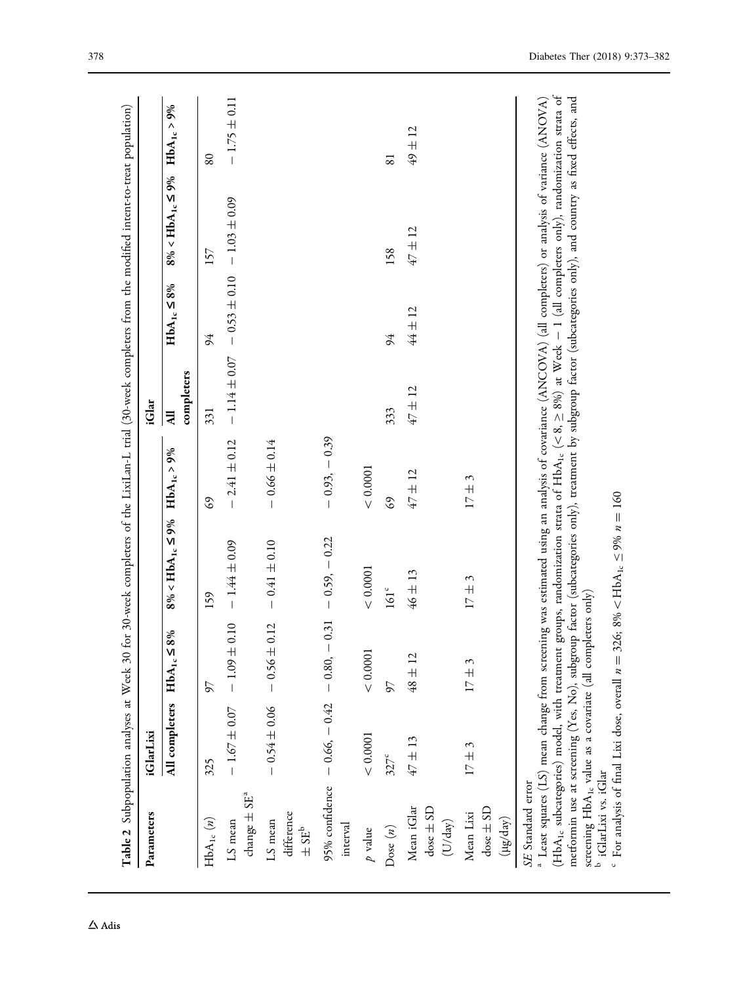<span id="page-5-0"></span>

| Parameters                                                                                                                                                                       | <b>iGlarLixi</b>                    |                     |                                                                                                                                                                                                                                                                                                                                                                                                                                                    |                  | iGlar                        |                                                    |                           |                  |
|----------------------------------------------------------------------------------------------------------------------------------------------------------------------------------|-------------------------------------|---------------------|----------------------------------------------------------------------------------------------------------------------------------------------------------------------------------------------------------------------------------------------------------------------------------------------------------------------------------------------------------------------------------------------------------------------------------------------------|------------------|------------------------------|----------------------------------------------------|---------------------------|------------------|
|                                                                                                                                                                                  | All completers $HbA_{1c} \leq$      | 8%                  | $8\% < HbA_{1c} \leq 9\%$                                                                                                                                                                                                                                                                                                                                                                                                                          | $HbA_{1c} > 9%$  | completers<br>$\overline{a}$ | $HbA_{1c} \leq 8\%$                                | $8\% < HbA_{1c} \leq 9\%$ | $HbA_{1c} > 9%$  |
| $HbA_{1c} (n)$                                                                                                                                                                   | 325                                 | 97                  | 159                                                                                                                                                                                                                                                                                                                                                                                                                                                | G9               | 331                          | 94                                                 | 157                       | 80               |
| change $\pm$ SE <sup>a</sup><br>LS mean                                                                                                                                          | $-1.67 \pm 0.07 - 1.09 \pm$         | 0.10                | $-1.44 \pm 0.09$                                                                                                                                                                                                                                                                                                                                                                                                                                   | $-2.41 \pm 0.12$ |                              | $-1.14 \pm 0.07$ $-0.53 \pm 0.10$ $-1.03 \pm 0.09$ |                           | $-1.75 \pm 0.11$ |
| difference<br>LS mean<br>$\pm$ SE <sup>b</sup>                                                                                                                                   | $-0.54 \pm 0.06$                    | 0.12<br>$-0.56 \pm$ | $-0.41 \pm 0.10$                                                                                                                                                                                                                                                                                                                                                                                                                                   | $-0.66 \pm 0.14$ |                              |                                                    |                           |                  |
| 95% confidence<br>interval                                                                                                                                                       | $-0.66$ , $-0.42$ $-0.80$ , $-0.31$ |                     | $-0.59, -0.22$                                                                                                                                                                                                                                                                                                                                                                                                                                     | $-0.93, -0.39$   |                              |                                                    |                           |                  |
| $\boldsymbol{p}$ value                                                                                                                                                           | < 0.0001                            | $<0.0001$           | $<0.0001$                                                                                                                                                                                                                                                                                                                                                                                                                                          | < 0.0001         |                              |                                                    |                           |                  |
| Dose $(n)$                                                                                                                                                                       | $327^c$                             | 57                  | $161^{\circ}$                                                                                                                                                                                                                                                                                                                                                                                                                                      | 69               | 333                          | 94                                                 | 158                       | 81               |
| Mean iGlar<br>$\frac{1}{2}$ ose $\pm$ SD<br>(U/day)                                                                                                                              | $47 \pm 13$                         | $48 \pm 12$         | $46 \pm 13$                                                                                                                                                                                                                                                                                                                                                                                                                                        | $47 \pm 12$      | 47 ± 12                      | $44 \pm 12$                                        | 47 ± 12                   | 49 ± 12          |
| $dose \pm SD$<br>Mean Lixi<br>$(\mu g / day)$                                                                                                                                    | $17 \pm 3$                          | $17 \pm 3$          | $17 \pm 3$                                                                                                                                                                                                                                                                                                                                                                                                                                         | $17 \pm 3$       |                              |                                                    |                           |                  |
| screening $HbA_{1c}$ value as a covariate (all completers only) b iGlarLixi vs. iGlar<br>(HbA <sub>1c</sub> subcategories) model, with treatment<br>ر<br>با<br>SE Standard error |                                     |                     | groups, randomization strata of $HbA_{1c}$ (<8, $\geq$ 8%) at Week - 1 (all completers only), randomization strata of<br>metformin use at screening (Yes, No), subgroup factor (subcategories only), treatment by subgroup factor (subcategories only), and country as fixed effects, and<br>Least squares (LS) mean change from screening was estimated using an analysis of covariance (ANCOVA) (all completers) or analysis of variance (ANOVA) |                  |                              |                                                    |                           |                  |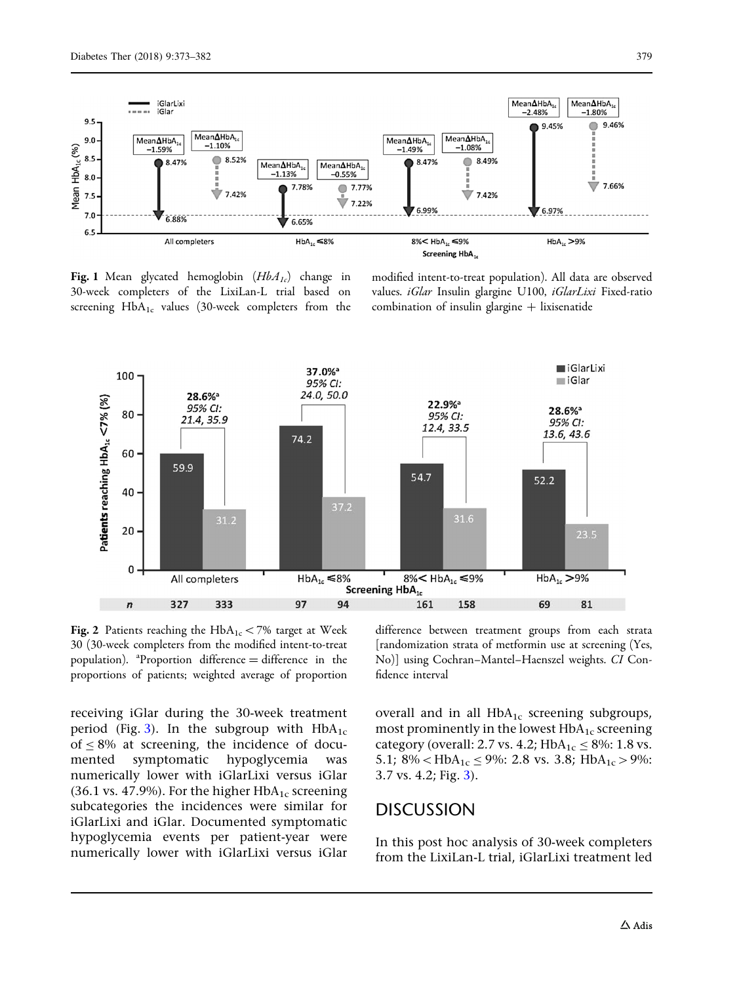<span id="page-6-0"></span>

Fig. 1 Mean glycated hemoglobin  $(HbA<sub>1c</sub>)$  change in 30-week completers of the LixiLan-L trial based on screening  $HbA_{1c}$  values (30-week completers from the

modified intent-to-treat population). All data are observed values. iGlar Insulin glargine U100, iGlarLixi Fixed-ratio combination of insulin glargine  $+$  lixisenatide



Fig. 2 Patients reaching the  $HbA_{1c}$  < 7% target at Week 30 (30-week completers from the modified intent-to-treat population).  ${}^{a}$ Proportion difference = difference in the proportions of patients; weighted average of proportion

receiving iGlar during the 30-week treatment period (Fig. [3](#page-7-0)). In the subgroup with  $HbA_{1c}$ of  $\leq$  8% at screening, the incidence of documented symptomatic hypoglycemia was numerically lower with iGlarLixi versus iGlar (36.1 vs. 47.9%). For the higher  $HbA_{1c}$  screening subcategories the incidences were similar for iGlarLixi and iGlar. Documented symptomatic hypoglycemia events per patient-year were numerically lower with iGlarLixi versus iGlar difference between treatment groups from each strata [randomization strata of metformin use at screening (Yes, No)] using Cochran–Mantel–Haenszel weights. CI Confidence interval

overall and in all  $HbA_{1c}$  screening subgroups, most prominently in the lowest  $HbA_{1c}$  screening category (overall: 2.7 vs. 4.2;  $HbA_{1c} \le 8\%$ : 1.8 vs. 5.1; 8% <  $HbA_{1c} \leq 9\%$ : 2.8 vs. 3.8;  $HbA_{1c} > 9\%$ : 3.7 vs. 4.2; Fig. [3](#page-7-0)).

#### **DISCUSSION**

In this post hoc analysis of 30-week completers from the LixiLan-L trial, iGlarLixi treatment led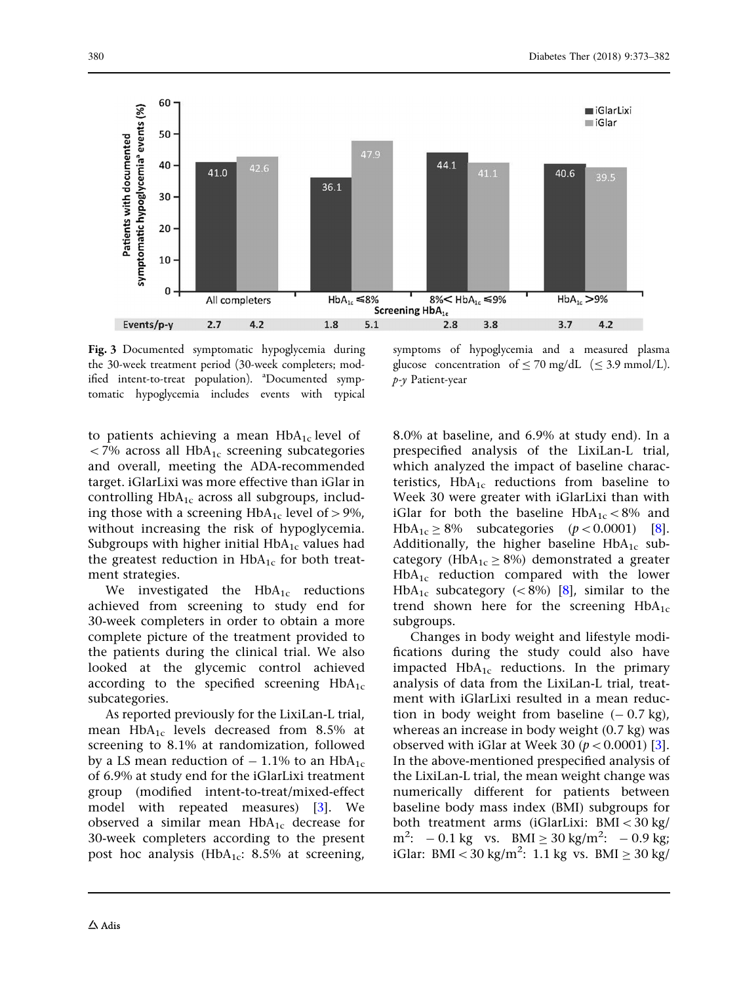<span id="page-7-0"></span>

Fig. 3 Documented symptomatic hypoglycemia during the 30-week treatment period (30-week completers; modified intent-to-treat population). <sup>a</sup>Documented symptomatic hypoglycemia includes events with typical

to patients achieving a mean  $HbA_{1c}$  level of  $<$  7% across all HbA<sub>1c</sub> screening subcategories and overall, meeting the ADA-recommended target. iGlarLixi was more effective than iGlar in controlling  $HbA_{1c}$  across all subgroups, including those with a screening  $HbA_{1c}$  level of > 9%, without increasing the risk of hypoglycemia. Subgroups with higher initial  $HbA_{1c}$  values had the greatest reduction in  $HbA_{1c}$  for both treatment strategies.

We investigated the  $HbA_{1c}$  reductions achieved from screening to study end for 30-week completers in order to obtain a more complete picture of the treatment provided to the patients during the clinical trial. We also looked at the glycemic control achieved according to the specified screening  $HbA_{1c}$ subcategories.

As reported previously for the LixiLan-L trial, mean  $HbA_{1c}$  levels decreased from 8.5% at screening to 8.1% at randomization, followed by a LS mean reduction of  $-1.1\%$  to an HbA<sub>1c</sub> of 6.9% at study end for the iGlarLixi treatment group (modified intent-to-treat/mixed-effect model with repeated measures) [[3\]](#page-9-0). We observed a similar mean  $HbA_{1c}$  decrease for 30-week completers according to the present post hoc analysis (HbA<sub>1c</sub>: 8.5% at screening,

symptoms of hypoglycemia and a measured plasma glucose concentration of  $\leq$  70 mg/dL ( $\leq$  3.9 mmol/L). p-y Patient-year

8.0% at baseline, and 6.9% at study end). In a prespecified analysis of the LixiLan-L trial, which analyzed the impact of baseline characteristics,  $HbA_{1c}$  reductions from baseline to Week 30 were greater with iGlarLixi than with iGlar for both the baseline  $HbA_{1c} < 8\%$  and HbA<sub>1c</sub>  $\geq$  [8](#page-9-0)% subcategories (*p* < 0.0001) [8]. Additionally, the higher baseline  $HbA_{1c}$  subcategory ( $HbA_{1c} \ge 8\%$ ) demonstrated a greater  $HbA_{1c}$  reduction compared with the lower HbA<sub>1c</sub> subcategory ( $\lt$  8%) [\[8\]](#page-9-0), similar to the trend shown here for the screening  $HbA_{1c}$ subgroups.

Changes in body weight and lifestyle modifications during the study could also have impacted  $HbA_{1c}$  reductions. In the primary analysis of data from the LixiLan-L trial, treatment with iGlarLixi resulted in a mean reduction in body weight from baseline  $(-0.7 \text{ kg})$ , whereas an increase in body weight (0.7 kg) was observed with iGlar at Week [3](#page-9-0)0 ( $p < 0.0001$ ) [3]. In the above-mentioned prespecified analysis of the LixiLan-L trial, the mean weight change was numerically different for patients between baseline body mass index (BMI) subgroups for both treatment arms (iGlarLixi: BMI\30 kg/  $m^2$ : - 0.1 kg vs. BMI  $\geq 30$  kg/m<sup>2</sup>: - 0.9 kg; iGlar: BMI < 30 kg/m<sup>2</sup>: 1.1 kg vs. BMI  $\geq 30$  kg/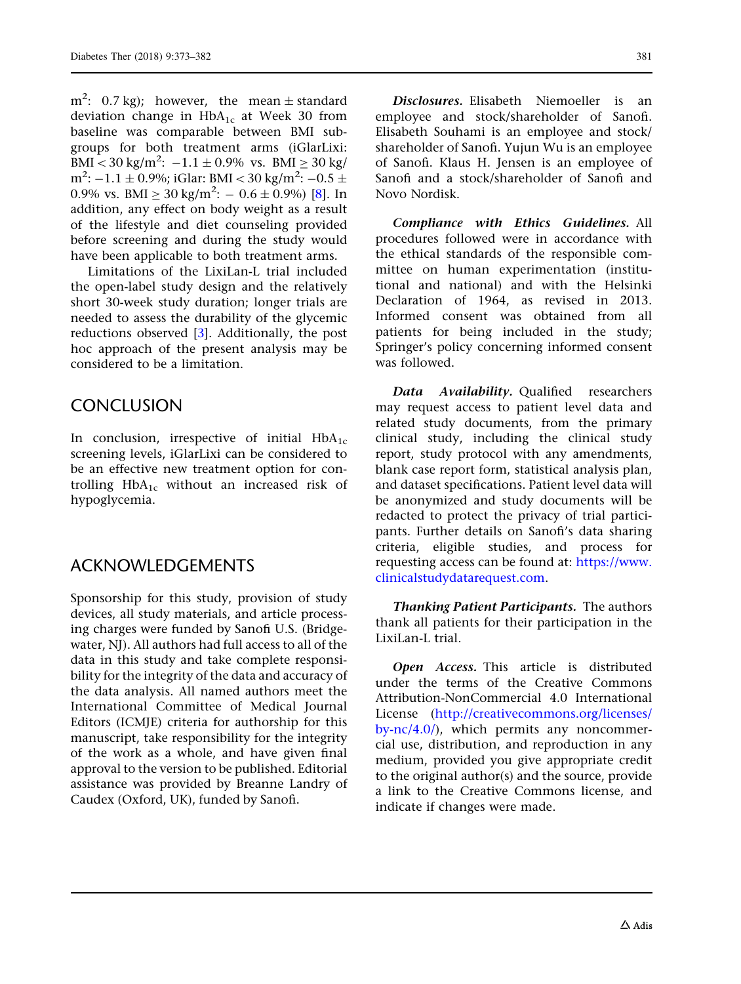$\text{m}^2$ : 0.7 kg); however, the mean  $\pm$  standard deviation change in  $HbA_{1c}$  at Week 30 from baseline was comparable between BMI subgroups for both treatment arms (iGlarLixi:  $\text{BMI} < 30 \text{ kg/m}^2$ :  $-1.1 \pm 0.9\% \text{ vs. } \text{BMI} \geq 30 \text{ kg/m}^2$ m<sup>2</sup>:  $-1.1 \pm 0.9$ %; iGlar: BMI < 30 kg/m<sup>2</sup>:  $-0.5 \pm$ 0.9% vs. BMI  $\geq 30$  kg/m<sup>2</sup>:  $-0.6 \pm 0.9$ %) [\[8](#page-9-0)]. In addition, any effect on body weight as a result of the lifestyle and diet counseling provided before screening and during the study would have been applicable to both treatment arms.

Limitations of the LixiLan-L trial included the open-label study design and the relatively short 30-week study duration; longer trials are needed to assess the durability of the glycemic reductions observed [[3](#page-9-0)]. Additionally, the post hoc approach of the present analysis may be considered to be a limitation.

# **CONCLUSION**

In conclusion, irrespective of initial  $HbA_{1c}$ screening levels, iGlarLixi can be considered to be an effective new treatment option for controlling  $HbA_{1c}$  without an increased risk of hypoglycemia.

### ACKNOWLEDGEMENTS

Sponsorship for this study, provision of study devices, all study materials, and article processing charges were funded by Sanofi U.S. (Bridgewater, NJ). All authors had full access to all of the data in this study and take complete responsibility for the integrity of the data and accuracy of the data analysis. All named authors meet the International Committee of Medical Journal Editors (ICMJE) criteria for authorship for this manuscript, take responsibility for the integrity of the work as a whole, and have given final approval to the version to be published. Editorial assistance was provided by Breanne Landry of Caudex (Oxford, UK), funded by Sanofi.

Disclosures. Elisabeth Niemoeller is an employee and stock/shareholder of Sanofi. Elisabeth Souhami is an employee and stock/ shareholder of Sanofi. Yujun Wu is an employee of Sanofi. Klaus H. Jensen is an employee of Sanofi and a stock/shareholder of Sanofi and Novo Nordisk.

Compliance with Ethics Guidelines. All procedures followed were in accordance with the ethical standards of the responsible committee on human experimentation (institutional and national) and with the Helsinki Declaration of 1964, as revised in 2013. Informed consent was obtained from all patients for being included in the study; Springer's policy concerning informed consent was followed.

Data Availability. Qualified researchers may request access to patient level data and related study documents, from the primary clinical study, including the clinical study report, study protocol with any amendments, blank case report form, statistical analysis plan, and dataset specifications. Patient level data will be anonymized and study documents will be redacted to protect the privacy of trial participants. Further details on Sanofi's data sharing criteria, eligible studies, and process for requesting access can be found at: [https://www.](https://www.clinicalstudydatarequest.com) [clinicalstudydatarequest.com](https://www.clinicalstudydatarequest.com).

Thanking Patient Participants. The authors thank all patients for their participation in the LixiLan-L trial.

Open Access. This article is distributed under the terms of the Creative Commons Attribution-NonCommercial 4.0 International License ([http://creativecommons.org/licenses/](http://creativecommons.org/licenses/by-nc/4.0/) by- $\frac{nc}{4.0}$ , which permits any noncommercial use, distribution, and reproduction in any medium, provided you give appropriate credit to the original author(s) and the source, provide a link to the Creative Commons license, and indicate if changes were made.